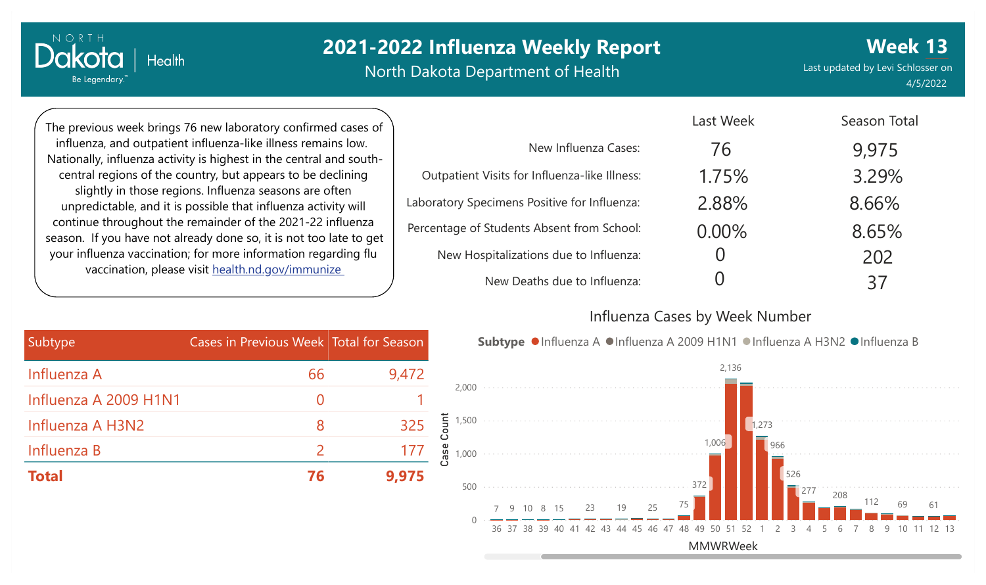North Dakota Department of Health

Last updated by Levi Schlosser on 4/5/2022

**Week 13**

The previous week brings 76 new laboratory confirmed cases of influenza, and outpatient influenza-like illness remains low. Nationally, influenza activity is highest in the central and southcentral regions of the country, but appears to be declining slightly in those regions. Influenza seasons are often unpredictable, and it is possible that influenza activity will continue throughout the remainder of the 2021-22 influenza season. If you have not already done so, it is not too late to get your influenza vaccination; for more information regarding flu vaccination, please visit [health.nd.gov/immunize](http://health.nd.gov/immunize)

**Health** 

NORTH

Dakota

Be Legendary.

|                                               | Last Week | Season Total |
|-----------------------------------------------|-----------|--------------|
| New Influenza Cases:                          | 76        | 9,975        |
| Outpatient Visits for Influenza-like Illness: | 1.75%     | 3.29%        |
| Laboratory Specimens Positive for Influenza:  | 2.88%     | 8.66%        |
| Percentage of Students Absent from School:    | 0.00%     | 8.65%        |
| New Hospitalizations due to Influenza:        |           | 202          |
| New Deaths due to Influenza:                  |           | 37           |

#### Influenza Cases by Week Number

| Subtype               | Cases in Previous Week Total for Season |       |  |
|-----------------------|-----------------------------------------|-------|--|
| Influenza A           | 66                                      | 9,472 |  |
| Influenza A 2009 H1N1 | $\left( \right)$                        |       |  |
| Influenza A H3N2      | 8                                       | 325   |  |
| Influenza B           | $\mathcal{L}$                           | 177   |  |
| <b>Total</b>          | 76                                      | 9.975 |  |

Subtype ●Influenza A ●Influenza A 2009 H1N1 ●Influenza A H3N2 ●Influenza B

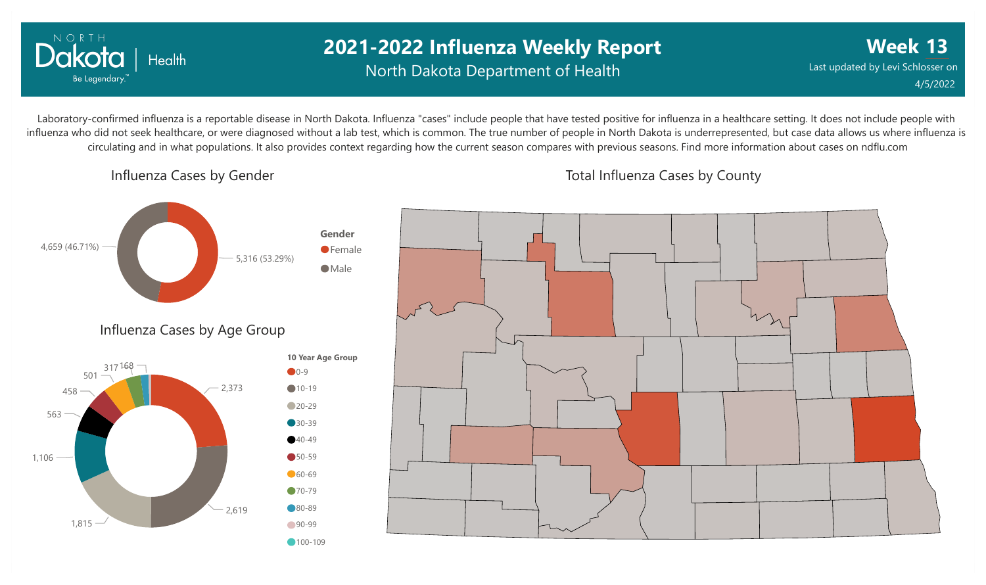

## **2021-2022 Influenza Weekly Report** North Dakota Department of Health

**Week 13** Last updated by Levi Schlosser on 4/5/2022

Laboratory-confirmed influenza is a reportable disease in North Dakota. Influenza "cases" include people that have tested positive for influenza in a healthcare setting. It does not include people with influenza who did not seek healthcare, or were diagnosed without a lab test, which is common. The true number of people in North Dakota is underrepresented, but case data allows us where influenza is circulating and in what populations. It also provides context regarding how the current season compares with previous seasons. Find more information about cases on ndflu.com

Influenza Cases by Gender



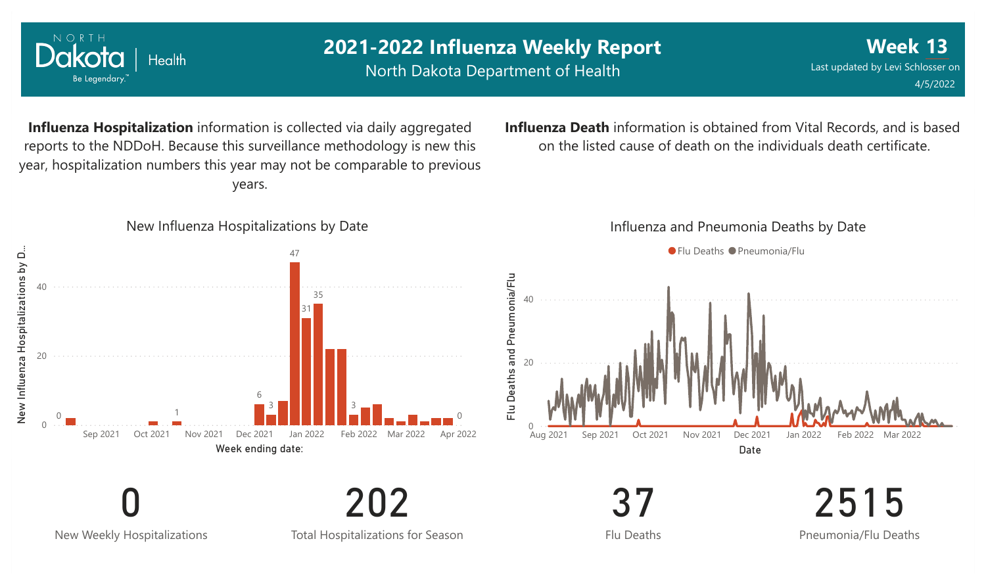

0 New Weekly Hospitalizations

Total Hospitalizations for Season

202

Flu Deaths

2515 Pneumonia/Flu Deaths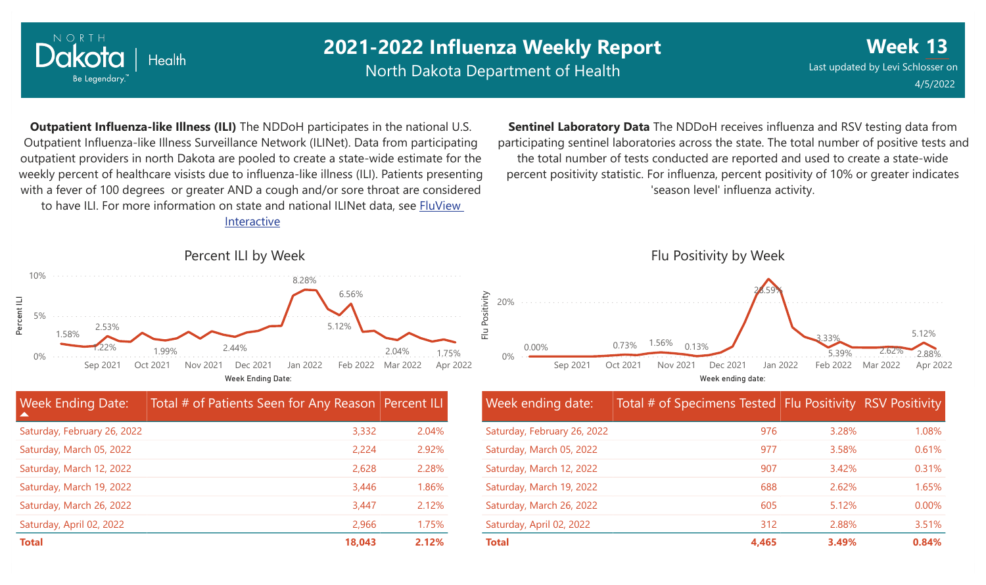

North Dakota Department of Health

**Week 13** Last updated by Levi Schlosser on 4/5/2022

**Outpatient Influenza-like Illness (ILI)** The NDDoH participates in the national U.S. Outpatient Influenza-like Illness Surveillance Network (ILINet). Data from participating outpatient providers in north Dakota are pooled to create a state-wide estimate for the weekly percent of healthcare visists due to influenza-like illness (ILI). Patients presenting with a fever of 100 degrees or greater AND a cough and/or sore throat are considered to have ILI. For more information [on state and national ILINet data, see FluView](http://fluview%20interactive/)

Interactive



| <b>Week Ending Date:</b><br>$\blacktriangle$ | Total # of Patients Seen for Any Reason Percent ILI |       |
|----------------------------------------------|-----------------------------------------------------|-------|
| Saturday, February 26, 2022                  | 3,332                                               | 2.04% |
| Saturday, March 05, 2022                     | 2,224                                               | 2.92% |
| Saturday, March 12, 2022                     | 2,628                                               | 2.28% |
| Saturday, March 19, 2022                     | 3,446                                               | 1.86% |
| Saturday, March 26, 2022                     | 3,447                                               | 2.12% |
| Saturday, April 02, 2022                     | 2,966                                               | 1.75% |
| <b>Total</b>                                 | 18,043                                              | 2.12% |

**Sentinel Laboratory Data** The NDDoH receives influenza and RSV testing data from participating sentinel laboratories across the state. The total number of positive tests and the total number of tests conducted are reported and used to create a state-wide percent positivity statistic. For influenza, percent positivity of 10% or greater indicates 'season level' influenza activity.



| Week ending date:           | Total # of Specimens Tested Flu Positivity RSV Positivity |       |       |
|-----------------------------|-----------------------------------------------------------|-------|-------|
| Saturday, February 26, 2022 | 976                                                       | 3.28% | 1.08% |
| Saturday, March 05, 2022    | 977                                                       | 3.58% | 0.61% |
| Saturday, March 12, 2022    | 907                                                       | 3.42% | 0.31% |
| Saturday, March 19, 2022    | 688                                                       | 2.62% | 1.65% |
| Saturday, March 26, 2022    | 605                                                       | 5.12% | 0.00% |
| Saturday, April 02, 2022    | 312                                                       | 2.88% | 3.51% |
| <b>Total</b>                | 4.465                                                     | 3.49% | 0.84% |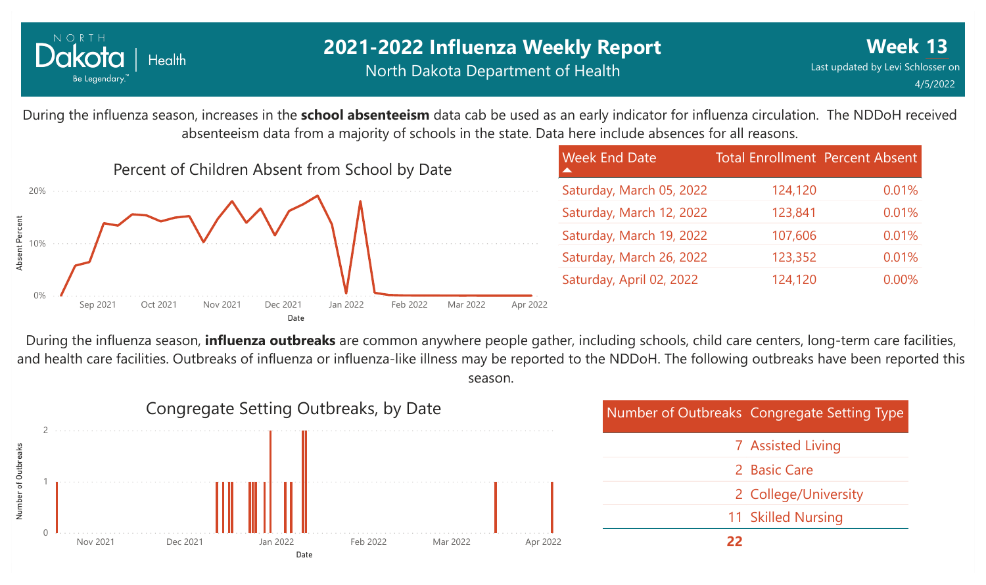

During the influenza season, increases in the **school absenteeism** data cab be used as an early indicator for influenza circulation. The NDDoH received absenteeism data from a majority of schools in the state. Data here include absences for all reasons.



During the influenza season, **influenza outbreaks** are common anywhere people gather, including schools, child care centers, long-term care facilities, and health care facilities. Outbreaks of influenza or influenza-like illness may be reported to the NDDoH. The following outbreaks have been reported this season.

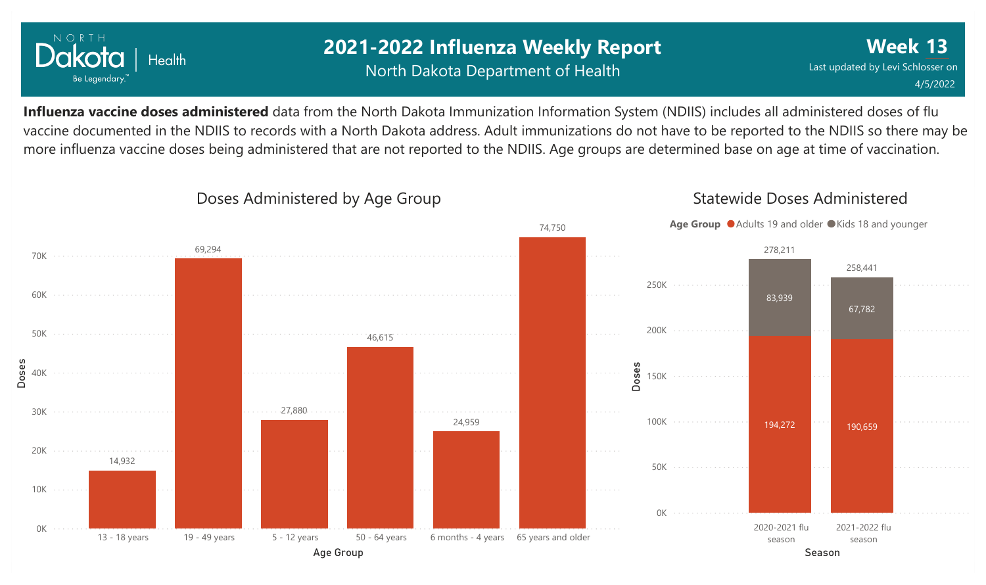

## **2021-2022 Influenza Weekly Report** North Dakota Department of Health

**Week 13** Last updated by Levi Schlosser on 4/5/2022

**Influenza vaccine doses administered** data from the North Dakota Immunization Information System (NDIIS) includes all administered doses of flu vaccine documented in the NDIIS to records with a North Dakota address. Adult immunizations do not have to be reported to the NDIIS so there may be more influenza vaccine doses being administered that are not reported to the NDIIS. Age groups are determined base on age at time of vaccination.



#### Doses Administered by Age Group

Statewide Doses Administered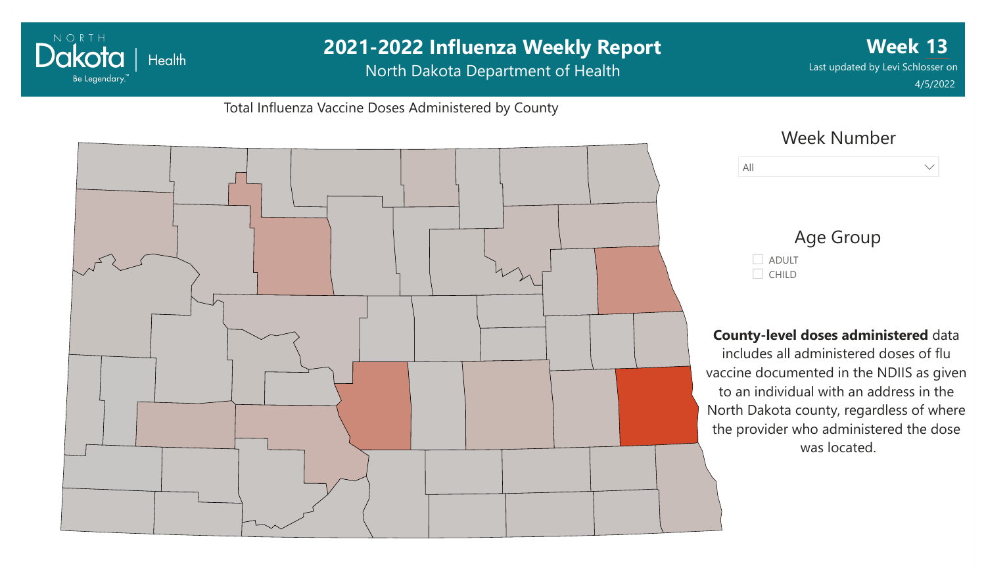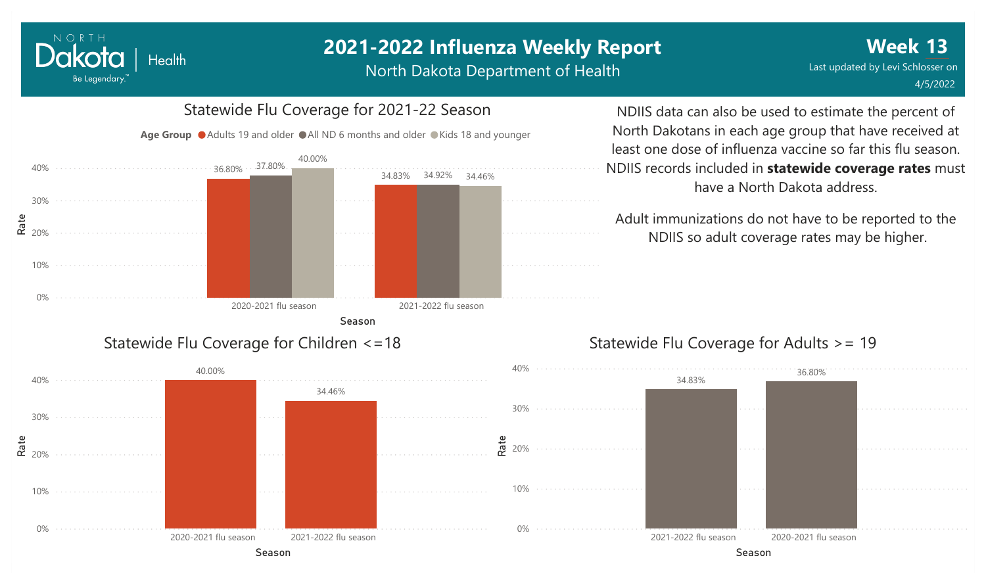North Dakota Department of Health



NORTH

Dakota

Be Legendary.

**Health** 

# Statewide Flu Coverage for 2021-22 Season

NDIIS data can also be used to estimate the percent of North Dakotans in each age group that have received at least one dose of influenza vaccine so far this flu season. NDIIS records included in **statewide coverage rates** must have a North Dakota address.

Adult immunizations do not have to be reported to the NDIIS so adult coverage rates may be higher.

#### Statewide Flu Coverage for Adults >= 19